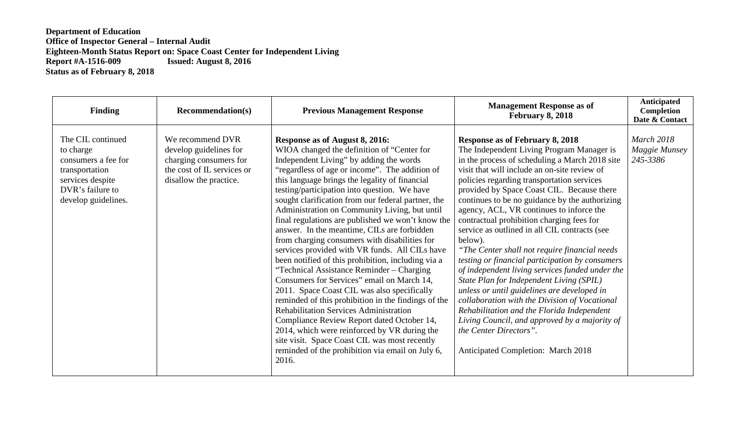| <b>Finding</b>                                                                                                                         | <b>Recommendation(s)</b>                                                                                                     | <b>Previous Management Response</b>                                                                                                                                                                                                                                                                                                                                                                                                                                                                                                                                                                                                                                                                                                                                                                                                                                                                                                                                                                                                                                                                           | <b>Management Response as of</b><br>February 8, 2018                                                                                                                                                                                                                                                                                                                                                                                                                                                                                                                                                                                                                                                                                                                                                                                                                                                                                                               | Anticipated<br>Completion<br>Date & Contact |
|----------------------------------------------------------------------------------------------------------------------------------------|------------------------------------------------------------------------------------------------------------------------------|---------------------------------------------------------------------------------------------------------------------------------------------------------------------------------------------------------------------------------------------------------------------------------------------------------------------------------------------------------------------------------------------------------------------------------------------------------------------------------------------------------------------------------------------------------------------------------------------------------------------------------------------------------------------------------------------------------------------------------------------------------------------------------------------------------------------------------------------------------------------------------------------------------------------------------------------------------------------------------------------------------------------------------------------------------------------------------------------------------------|--------------------------------------------------------------------------------------------------------------------------------------------------------------------------------------------------------------------------------------------------------------------------------------------------------------------------------------------------------------------------------------------------------------------------------------------------------------------------------------------------------------------------------------------------------------------------------------------------------------------------------------------------------------------------------------------------------------------------------------------------------------------------------------------------------------------------------------------------------------------------------------------------------------------------------------------------------------------|---------------------------------------------|
| The CIL continued<br>to charge<br>consumers a fee for<br>transportation<br>services despite<br>DVR's failure to<br>develop guidelines. | We recommend DVR<br>develop guidelines for<br>charging consumers for<br>the cost of IL services or<br>disallow the practice. | Response as of August 8, 2016:<br>WIOA changed the definition of "Center for<br>Independent Living" by adding the words<br>"regardless of age or income". The addition of<br>this language brings the legality of financial<br>testing/participation into question. We have<br>sought clarification from our federal partner, the<br>Administration on Community Living, but until<br>final regulations are published we won't know the<br>answer. In the meantime, CILs are forbidden<br>from charging consumers with disabilities for<br>services provided with VR funds. All CILs have<br>been notified of this prohibition, including via a<br>"Technical Assistance Reminder – Charging<br>Consumers for Services" email on March 14,<br>2011. Space Coast CIL was also specifically<br>reminded of this prohibition in the findings of the<br><b>Rehabilitation Services Administration</b><br>Compliance Review Report dated October 14,<br>2014, which were reinforced by VR during the<br>site visit. Space Coast CIL was most recently<br>reminded of the prohibition via email on July 6,<br>2016. | <b>Response as of February 8, 2018</b><br>The Independent Living Program Manager is<br>in the process of scheduling a March 2018 site<br>visit that will include an on-site review of<br>policies regarding transportation services<br>provided by Space Coast CIL. Because there<br>continues to be no guidance by the authorizing<br>agency, ACL, VR continues to inforce the<br>contractual prohibition charging fees for<br>service as outlined in all CIL contracts (see<br>below).<br>"The Center shall not require financial needs"<br>testing or financial participation by consumers<br>of independent living services funded under the<br>State Plan for Independent Living (SPIL)<br>unless or until guidelines are developed in<br>collaboration with the Division of Vocational<br>Rehabilitation and the Florida Independent<br>Living Council, and approved by a majority of<br>the Center Directors".<br><b>Anticipated Completion: March 2018</b> | March 2018<br>Maggie Munsey<br>245-3386     |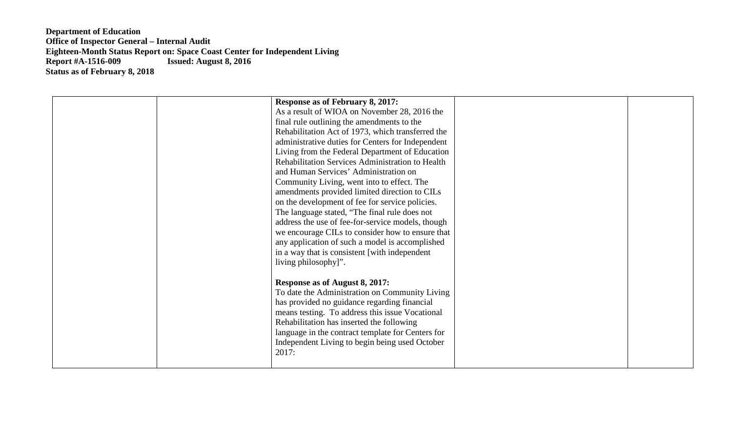| <b>Response as of February 8, 2017:</b><br>As a result of WIOA on November 28, 2016 the<br>final rule outlining the amendments to the<br>Rehabilitation Act of 1973, which transferred the<br>administrative duties for Centers for Independent<br>Living from the Federal Department of Education<br>Rehabilitation Services Administration to Health<br>and Human Services' Administration on<br>Community Living, went into to effect. The<br>amendments provided limited direction to CILs<br>on the development of fee for service policies.<br>The language stated, "The final rule does not<br>address the use of fee-for-service models, though<br>we encourage CILs to consider how to ensure that<br>any application of such a model is accomplished |  |
|----------------------------------------------------------------------------------------------------------------------------------------------------------------------------------------------------------------------------------------------------------------------------------------------------------------------------------------------------------------------------------------------------------------------------------------------------------------------------------------------------------------------------------------------------------------------------------------------------------------------------------------------------------------------------------------------------------------------------------------------------------------|--|
| in a way that is consistent [with independent<br>living philosophy]".<br>Response as of August 8, 2017:<br>To date the Administration on Community Living<br>has provided no guidance regarding financial<br>means testing. To address this issue Vocational<br>Rehabilitation has inserted the following<br>language in the contract template for Centers for<br>Independent Living to begin being used October<br>2017:                                                                                                                                                                                                                                                                                                                                      |  |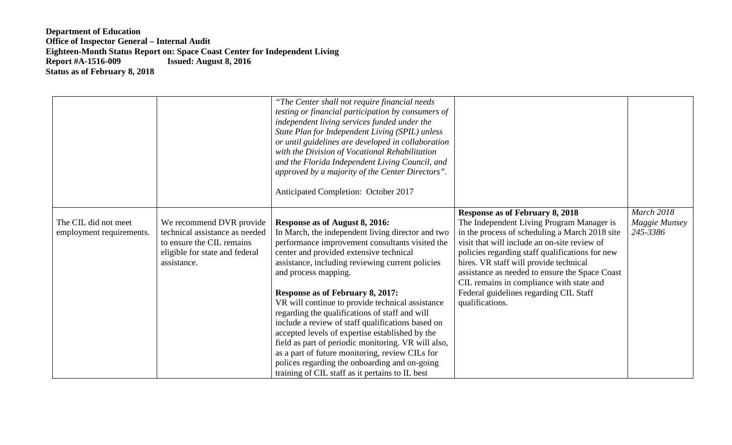|                                                  |                                                                                                                                          | "The Center shall not require financial needs<br>testing or financial participation by consumers of<br>independent living services funded under the<br>State Plan for Independent Living (SPIL) unless<br>or until guidelines are developed in collaboration<br>with the Division of Vocational Rehabilitation<br>and the Florida Independent Living Council, and<br>approved by a majority of the Center Directors".<br>Anticipated Completion: October 2017                                                                                                                                                                                                                                                                        |                                                                                                                                                                                                                                                                                                                                                                                                                                               |                                                |
|--------------------------------------------------|------------------------------------------------------------------------------------------------------------------------------------------|--------------------------------------------------------------------------------------------------------------------------------------------------------------------------------------------------------------------------------------------------------------------------------------------------------------------------------------------------------------------------------------------------------------------------------------------------------------------------------------------------------------------------------------------------------------------------------------------------------------------------------------------------------------------------------------------------------------------------------------|-----------------------------------------------------------------------------------------------------------------------------------------------------------------------------------------------------------------------------------------------------------------------------------------------------------------------------------------------------------------------------------------------------------------------------------------------|------------------------------------------------|
| The CIL did not meet<br>employment requirements. | We recommend DVR provide<br>technical assistance as needed<br>to ensure the CIL remains<br>eligible for state and federal<br>assistance. | Response as of August 8, 2016:<br>In March, the independent living director and two<br>performance improvement consultants visited the<br>center and provided extensive technical<br>assistance, including reviewing current policies<br>and process mapping.<br><b>Response as of February 8, 2017:</b><br>VR will continue to provide technical assistance<br>regarding the qualifications of staff and will<br>include a review of staff qualifications based on<br>accepted levels of expertise established by the<br>field as part of periodic monitoring. VR will also,<br>as a part of future monitoring, review CILs for<br>polices regarding the onboarding and on-going<br>training of CIL staff as it pertains to IL best | <b>Response as of February 8, 2018</b><br>The Independent Living Program Manager is<br>in the process of scheduling a March 2018 site<br>visit that will include an on-site review of<br>policies regarding staff qualifications for new<br>hires. VR staff will provide technical<br>assistance as needed to ensure the Space Coast<br>CIL remains in compliance with state and<br>Federal guidelines regarding CIL Staff<br>qualifications. | <b>March 2018</b><br>Maggie Munsey<br>245-3386 |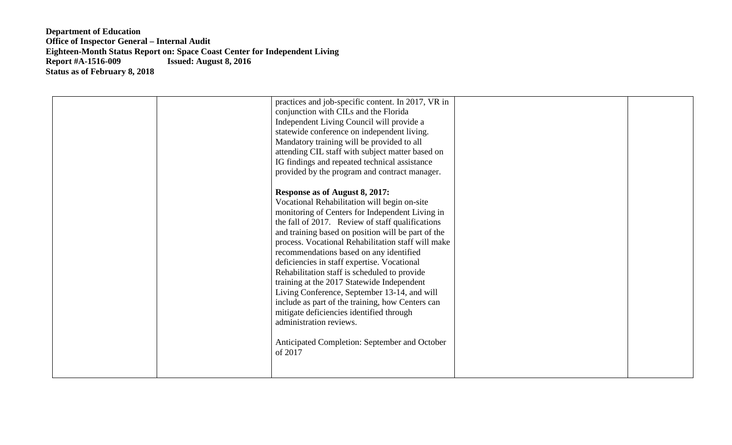| practices and job-specific content. In 2017, VR in<br>conjunction with CILs and the Florida<br>Independent Living Council will provide a<br>statewide conference on independent living.<br>Mandatory training will be provided to all<br>attending CIL staff with subject matter based on<br>IG findings and repeated technical assistance<br>provided by the program and contract manager.<br><b>Response as of August 8, 2017:</b><br>Vocational Rehabilitation will begin on-site<br>monitoring of Centers for Independent Living in<br>the fall of 2017. Review of staff qualifications<br>and training based on position will be part of the<br>process. Vocational Rehabilitation staff will make |  |
|---------------------------------------------------------------------------------------------------------------------------------------------------------------------------------------------------------------------------------------------------------------------------------------------------------------------------------------------------------------------------------------------------------------------------------------------------------------------------------------------------------------------------------------------------------------------------------------------------------------------------------------------------------------------------------------------------------|--|
| recommendations based on any identified<br>deficiencies in staff expertise. Vocational<br>Rehabilitation staff is scheduled to provide<br>training at the 2017 Statewide Independent<br>Living Conference, September 13-14, and will<br>include as part of the training, how Centers can<br>mitigate deficiencies identified through<br>administration reviews.<br>Anticipated Completion: September and October<br>of 2017                                                                                                                                                                                                                                                                             |  |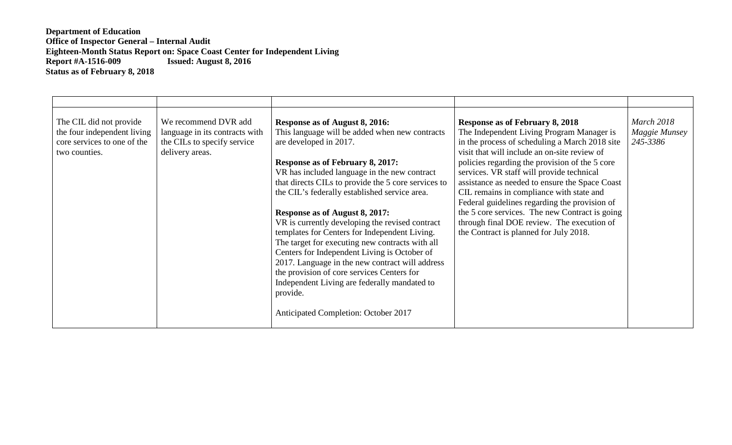| The CIL did not provide<br>the four independent living<br>core services to one of the<br>two counties. | We recommend DVR add<br>language in its contracts with<br>the CILs to specify service<br>delivery areas. | Response as of August 8, 2016:<br>This language will be added when new contracts<br>are developed in 2017.<br><b>Response as of February 8, 2017:</b><br>VR has included language in the new contract<br>that directs CILs to provide the 5 core services to<br>the CIL's federally established service area.<br>Response as of August 8, 2017:<br>VR is currently developing the revised contract<br>templates for Centers for Independent Living.<br>The target for executing new contracts with all<br>Centers for Independent Living is October of<br>2017. Language in the new contract will address<br>the provision of core services Centers for<br>Independent Living are federally mandated to<br>provide.<br>Anticipated Completion: October 2017 | <b>Response as of February 8, 2018</b><br>The Independent Living Program Manager is<br>in the process of scheduling a March 2018 site<br>visit that will include an on-site review of<br>policies regarding the provision of the 5 core<br>services. VR staff will provide technical<br>assistance as needed to ensure the Space Coast<br>CIL remains in compliance with state and<br>Federal guidelines regarding the provision of<br>the 5 core services. The new Contract is going<br>through final DOE review. The execution of<br>the Contract is planned for July 2018. | <b>March 2018</b><br>Maggie Munsey<br>245-3386 |
|--------------------------------------------------------------------------------------------------------|----------------------------------------------------------------------------------------------------------|-------------------------------------------------------------------------------------------------------------------------------------------------------------------------------------------------------------------------------------------------------------------------------------------------------------------------------------------------------------------------------------------------------------------------------------------------------------------------------------------------------------------------------------------------------------------------------------------------------------------------------------------------------------------------------------------------------------------------------------------------------------|-------------------------------------------------------------------------------------------------------------------------------------------------------------------------------------------------------------------------------------------------------------------------------------------------------------------------------------------------------------------------------------------------------------------------------------------------------------------------------------------------------------------------------------------------------------------------------|------------------------------------------------|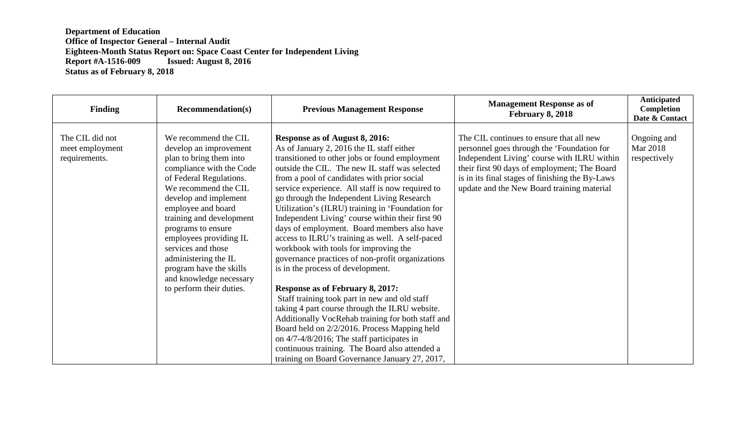| <b>Finding</b>                                      | <b>Recommendation(s)</b>                                                                                                                                                                                                                                                                                                                                                                                            | <b>Previous Management Response</b>                                                                                                                                                                                                                                                                                                                                                                                                                                                                                                                                                                                                                                                                                                                                                                                                                                                                                                                                                                                                                                                  | <b>Management Response as of</b><br><b>February 8, 2018</b>                                                                                                                                                                                                                            | Anticipated<br>Completion<br>Date & Contact |
|-----------------------------------------------------|---------------------------------------------------------------------------------------------------------------------------------------------------------------------------------------------------------------------------------------------------------------------------------------------------------------------------------------------------------------------------------------------------------------------|--------------------------------------------------------------------------------------------------------------------------------------------------------------------------------------------------------------------------------------------------------------------------------------------------------------------------------------------------------------------------------------------------------------------------------------------------------------------------------------------------------------------------------------------------------------------------------------------------------------------------------------------------------------------------------------------------------------------------------------------------------------------------------------------------------------------------------------------------------------------------------------------------------------------------------------------------------------------------------------------------------------------------------------------------------------------------------------|----------------------------------------------------------------------------------------------------------------------------------------------------------------------------------------------------------------------------------------------------------------------------------------|---------------------------------------------|
| The CIL did not<br>meet employment<br>requirements. | We recommend the CIL<br>develop an improvement<br>plan to bring them into<br>compliance with the Code<br>of Federal Regulations.<br>We recommend the CIL<br>develop and implement<br>employee and board<br>training and development<br>programs to ensure<br>employees providing IL<br>services and those<br>administering the IL<br>program have the skills<br>and knowledge necessary<br>to perform their duties. | Response as of August 8, 2016:<br>As of January 2, 2016 the IL staff either<br>transitioned to other jobs or found employment<br>outside the CIL. The new IL staff was selected<br>from a pool of candidates with prior social<br>service experience. All staff is now required to<br>go through the Independent Living Research<br>Utilization's (ILRU) training in 'Foundation for<br>Independent Living' course within their first 90<br>days of employment. Board members also have<br>access to ILRU's training as well. A self-paced<br>workbook with tools for improving the<br>governance practices of non-profit organizations<br>is in the process of development.<br><b>Response as of February 8, 2017:</b><br>Staff training took part in new and old staff<br>taking 4 part course through the ILRU website.<br>Additionally VocRehab training for both staff and<br>Board held on 2/2/2016. Process Mapping held<br>on $4/7-4/8/2016$ ; The staff participates in<br>continuous training. The Board also attended a<br>training on Board Governance January 27, 2017, | The CIL continues to ensure that all new<br>personnel goes through the 'Foundation for<br>Independent Living' course with ILRU within<br>their first 90 days of employment; The Board<br>is in its final stages of finishing the By-Laws<br>update and the New Board training material | Ongoing and<br>Mar 2018<br>respectively     |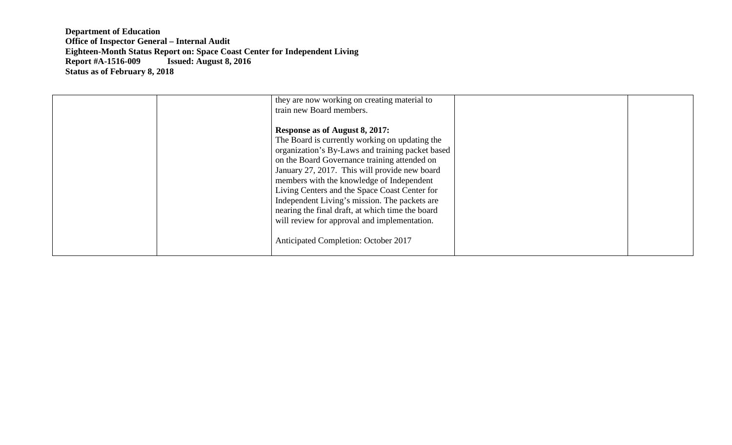| they are now working on creating material to<br>train new Board members.                                                                                                                                                                                                                                                                                                                                                                                                                                                         |  |
|----------------------------------------------------------------------------------------------------------------------------------------------------------------------------------------------------------------------------------------------------------------------------------------------------------------------------------------------------------------------------------------------------------------------------------------------------------------------------------------------------------------------------------|--|
| Response as of August 8, 2017:<br>The Board is currently working on updating the<br>organization's By-Laws and training packet based<br>on the Board Governance training attended on<br>January 27, 2017. This will provide new board<br>members with the knowledge of Independent<br>Living Centers and the Space Coast Center for<br>Independent Living's mission. The packets are<br>nearing the final draft, at which time the board<br>will review for approval and implementation.<br>Anticipated Completion: October 2017 |  |